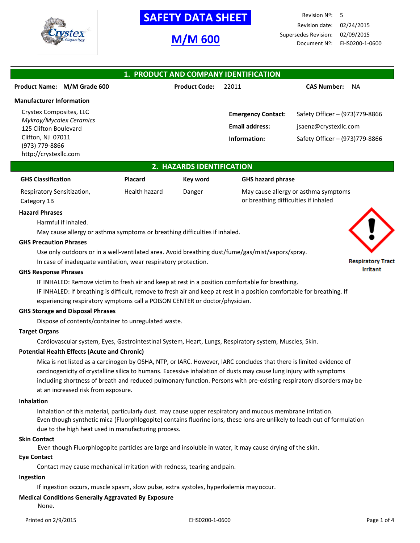

# **SAFETY DATA SHEET**

# **M/M 600**

Revision Nº: 5 Revision date: 02/24/2015 Supersedes Revision: 02/09/2015 Document Nº: EHS0200-1-0600

| 1. PRODUCT AND COMPANY IDENTIFICATION            |                      |                           |                                 |  |  |  |
|--------------------------------------------------|----------------------|---------------------------|---------------------------------|--|--|--|
| Product Name: M/M Grade 600                      | <b>Product Code:</b> | 22011                     | <b>CAS Number:</b><br><b>NA</b> |  |  |  |
| <b>Manufacturer Information</b>                  |                      |                           |                                 |  |  |  |
| Crystex Composites, LLC                          |                      | <b>Emergency Contact:</b> | Safety Officer - (973)779-8866  |  |  |  |
| Mykroy/Mycalex Ceramics<br>125 Clifton Boulevard |                      | <b>Email address:</b>     | jsaenz@crystexllc.com           |  |  |  |
| Clifton, NJ 07011                                |                      | Information:              | Safety Officer - (973)779-8866  |  |  |  |
| (973) 779-8866<br>http://crystexllc.com          |                      |                           |                                 |  |  |  |

## **2. HAZARDS IDENTIFICATION**

| <b>GHS Classification</b>  | <b>Placard</b> | Key word | <b>GHS hazard phrase</b> |
|----------------------------|----------------|----------|--------------------------|
| Respiratory Sensitization, | Health hazard  | Danger   | May cause allergy or a   |
| Category 1B                |                |          | or breathing difficultie |

## asth masy mptoms or breathing difficulties if inhaled

#### **Hazard Phrases**

Harmful if inhaled.

May cause allergy or asthma symptoms or breathing difficulties if inhaled.

#### **GHS Precaution Phrases**

Use only outdoors or in a well-ventilated area. Avoid breathing dust/fume/gas/mist/vapors/spray. In case of inadequate ventilation, wear respiratory protection.

#### **GHS Response Phrases**

IF INHALED: Remove victim to fresh air and keep at rest in a position comfortable for breathing. IF INHALED: If breathing is difficult, remove to fresh air and keep at rest in a position comfortable for breathing. If experiencing respiratory symptoms call a POISON CENTER or doctor/physician.

#### **GHS Storage and Disposal Phrases**

Dispose of contents/container to unregulated waste.

## **Target Organs**

Cardiovascular system, Eyes, Gastrointestinal System, Heart, Lungs, Respiratory system, Muscles, Skin.

## **Potential Health Effects (Acute and Chronic)**

Mica is not listed as a carcinogen by OSHA, NTP, or IARC. However, IARC concludes that there is limited evidence of carcinogenicity of crystalline silica to humans. Excessive inhalation of dusts may cause lung injury with symptoms including shortness of breath and reduced pulmonary function. Persons with pre-existing respiratory disorders may be at an increased risk from exposure.

#### **Inhalation**

Inhalation of this material, particularly dust. may cause upper respiratory and mucous membrane irritation. Even though synthetic mica (Fluorphlogopite) contains fluorine ions, these ions are unlikely to leach out of formulation due to the high heat used in manufacturing process.

#### **Skin Contact**

Even though Fluorphlogopite particles are large and insoluble in water, it may cause drying of the skin.

## **Eye Contact**

Contact may cause mechanical irritation with redness, tearing and pain.

#### **Ingestion**

If ingestion occurs, muscle spasm, slow pulse, extra systoles, hyperkalemia mayoccur.

## **Medical Conditions Generally Aggravated By Exposure**

None.

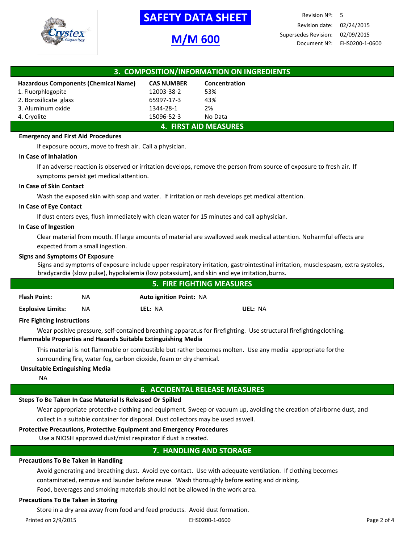

# **SAFETY DATA SHEET**

# **M/M 600**

| 3. COMPOSITION/INFORMATION ON INGREDIENTS |                   |               |  |  |
|-------------------------------------------|-------------------|---------------|--|--|
| Hazardous Components (Chemical Name)      | <b>CAS NUMBER</b> | Concentration |  |  |
| 1. Fluorphlogopite                        | 12003-38-2        | 53%           |  |  |
| 2. Borosilicate glass                     | 65997-17-3        | 43%           |  |  |
| 3. Aluminum oxide                         | 1344-28-1         | 2%            |  |  |
| 4. Cryolite                               | 15096-52-3        | No Data       |  |  |
| <b>4. FIRST AID MEASURES</b>              |                   |               |  |  |

## **Emergency and First Aid Procedures**

If exposure occurs, move to fresh air. Call a physician.

## **In Case of Inhalation**

If an adverse reaction is observed or irritation develops, remove the person from source of exposure to fresh air. If symptoms persist get medical attention.

## **In Case of Skin Contact**

Wash the exposed skin with soap and water. If irritation or rash develops get medical attention.

## **In Case of Eye Contact**

If dust enters eyes, flush immediately with clean water for 15 minutes and call aphysician.

## **In Case of Ingestion**

Clear material from mouth. If large amounts of material are swallowed seek medical attention. Noharmful effects are expected from a small ingestion.

## **Signs and Symptoms Of Exposure**

Signs and symptoms of exposure include upper respiratory irritation, gastrointestinal irritation, musclespasm, extra systoles, bradycardia (slow pulse), hypokalemia (low potassium), and skin and eye irritation,burns.

|                          | <b>5. FIRE FIGHTING MEASURES</b> |                                |         |  |
|--------------------------|----------------------------------|--------------------------------|---------|--|
| <b>Flash Point:</b>      | ΝA                               | <b>Auto ignition Point: NA</b> |         |  |
| <b>Explosive Limits:</b> | ΝA                               | LEL: NA                        | UEL: NA |  |
|                          |                                  |                                |         |  |

## **Fire Fighting Instructions**

Wear positive pressure, self-contained breathing apparatus for firefighting. Use structural firefightingclothing. **Flammable Properties and Hazards Suitable Extinguishing Media**

This material is not flammable or combustible but rather becomes molten. Use any media appropriate forthe surrounding fire, water fog, carbon dioxide, foam or dry chemical.

## **Unsuitable Extinguishing Media**

NA

## **6. ACCIDENTAL RELEASE MEASURES**

## **Steps To Be Taken In Case Material Is Released Or Spilled**

Wear appropriate protective clothing and equipment. Sweep or vacuum up, avoiding the creation ofairborne dust, and collect in a suitable container for disposal. Dust collectors may be used aswell.

## **Protective Precautions, Protective Equipment and Emergency Procedures**

Use a NIOSH approved dust/mist respirator if dust is created.

## **7. HANDLING AND STORAGE**

## **Precautions To Be Taken in Handling**

Avoid generating and breathing dust. Avoid eye contact. Use with adequate ventilation. If clothing becomes contaminated, remove and launder before reuse. Wash thoroughly before eating and drinking.

Food, beverages and smoking materials should not be allowed in the work area.

## **Precautions To Be Taken in Storing**

Store in a dry area away from food and feed products. Avoid dust formation.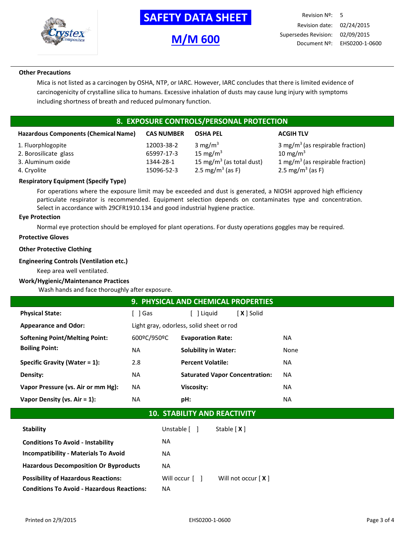

## **-SAFETY DATA SHEET-**

# **M/M 600**

Revision Nº: 5 Revision date: 02/24/2015 Supersedes Revision: 02/09/2015 Document Nº: EHS0200-1-0600

## **Other Precautions**

Mica is not listed as a carcinogen by OSHA, NTP, or IARC. However, IARC concludes that there is limited evidence of carcinogenicity of crystalline silica to humans. Excessive inhalation of dusts may cause lung injury with symptoms including shortness of breath and reduced pulmonary function.

## **8. EXPOSURE CONTROLS/PERSONAL PROTECTION**

| <b>Hazardous Components (Chemical Name)</b> | <b>CAS NUMBER</b> | <b>OSHA PEL</b>                      | <b>ACGIH TLV</b>                             |
|---------------------------------------------|-------------------|--------------------------------------|----------------------------------------------|
| 1. Fluorphlogopite                          | 12003-38-2        | $3 \text{ mg/m}^3$                   | 3 mg/m <sup>3</sup> (as respirable fraction) |
| 2. Borosilicate glass                       | 65997-17-3        | 15 mg/m $3$                          | 10 mg/m $3$                                  |
| 3. Aluminum oxide                           | 1344-28-1         | 15 mg/m <sup>3</sup> (as total dust) | 1 mg/m <sup>3</sup> (as respirable fraction) |
| 4. Cryolite                                 | 15096-52-3        | 2.5 mg/m <sup>3</sup> (as F)         | 2.5 mg/m <sup>3</sup> (as F)                 |

## **Respiratory Equipment (Specify Type)**

For operations where the exposure limit may be exceeded and dust is generated, a NIOSH approved high efficiency particulate respirator is recommended. Equipment selection depends on contaminates type and concentration. Select in accordance with 29CFR1910.134 and good industrial hygiene practice.

#### **Eye Protection**

Normal eye protection should be employed for plant operations. For dusty operations goggles may be required.

## **Protective Gloves**

## **Other Protective Clothing**

#### **Engineering Controls (Ventilation etc.)**

Keep area well ventilated.

## **Work/Hygienic/Maintenance Practices**

Wash hands and face thoroughly after exposure.

|                                       |             | <b>9. PHYSICAL AND CHEMICAL PROPERTIES</b> |           |  |  |
|---------------------------------------|-------------|--------------------------------------------|-----------|--|--|
| <b>Physical State:</b>                | l Gas       | X I Solid<br>Liguid                        |           |  |  |
| <b>Appearance and Odor:</b>           |             | Light gray, odorless, solid sheet or rod   |           |  |  |
| <b>Softening Point/Melting Point:</b> | 600ºC/950ºC | <b>Evaporation Rate:</b>                   | <b>NA</b> |  |  |
| <b>Boiling Point:</b>                 | NA          | <b>Solubility in Water:</b>                | None      |  |  |
| Specific Gravity (Water $= 1$ ):      | 2.8         | <b>Percent Volatile:</b>                   | <b>NA</b> |  |  |
| Density:                              | ΝA          | <b>Saturated Vapor Concentration:</b>      | <b>NA</b> |  |  |
| Vapor Pressure (vs. Air or mm Hg):    | NA.         | <b>Viscosity:</b>                          | <b>NA</b> |  |  |
| Vapor Density (vs. $Air = 1$ ):       | <b>NA</b>   | pH:                                        | <b>NA</b> |  |  |
|                                       |             |                                            |           |  |  |

## **10. STABILITY AND REACTIVITY**

| <b>Stability</b>                                  | Unstable [ ]   | Stable $[X]$         |
|---------------------------------------------------|----------------|----------------------|
| <b>Conditions To Avoid - Instability</b>          | <b>NA</b>      |                      |
| <b>Incompatibility - Materials To Avoid</b>       | <b>NA</b>      |                      |
| <b>Hazardous Decomposition Or Byproducts</b>      | <b>NA</b>      |                      |
| <b>Possibility of Hazardous Reactions:</b>        | Will occur [ ] | Will not occur $[X]$ |
| <b>Conditions To Avoid - Hazardous Reactions:</b> | ΝA             |                      |